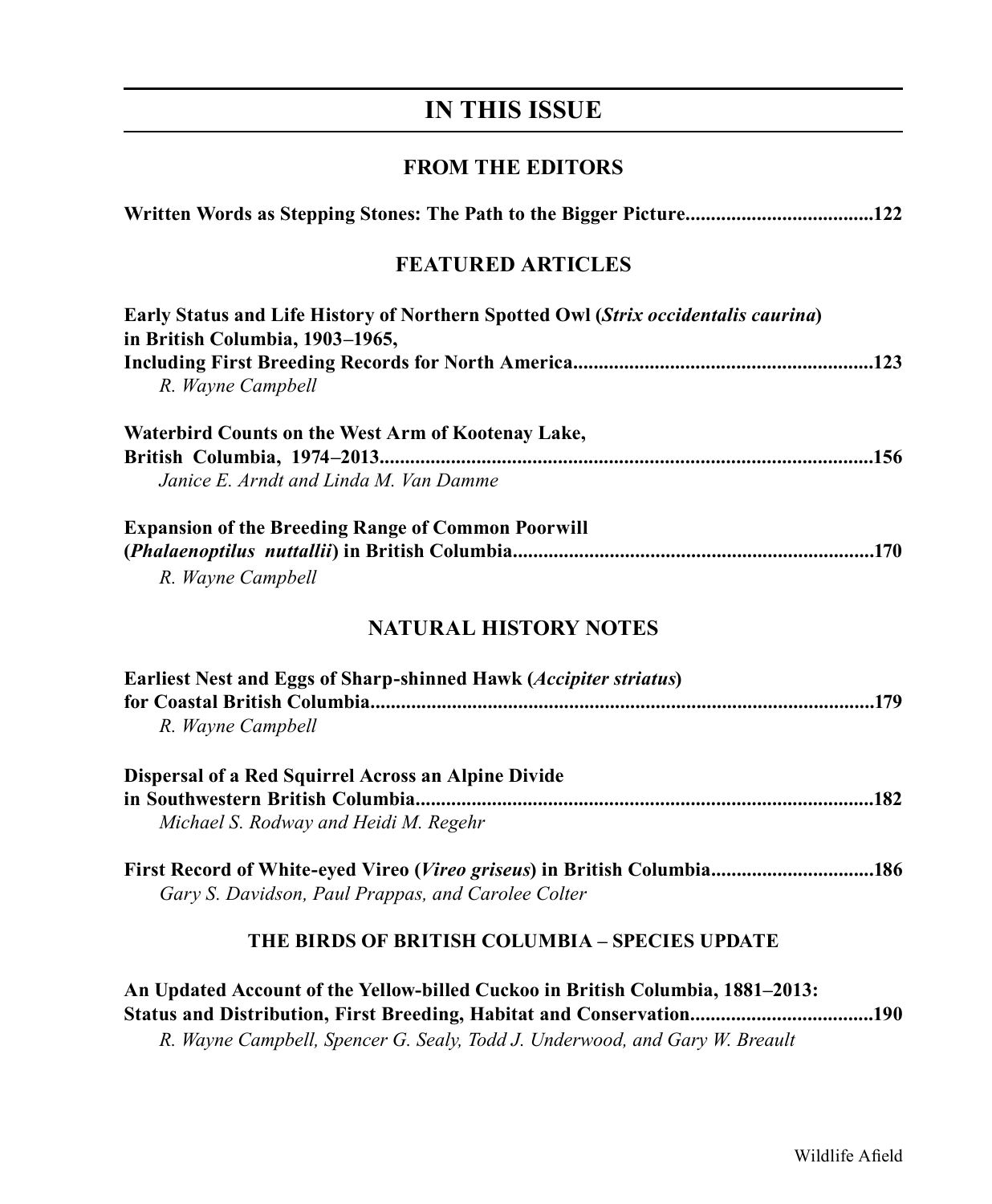# **IN THIS ISSUE**

## **FROM THE EDITORS**

| Written Words as Stepping Stones: The Path to the Bigger Picture122<br><b>FEATURED ARTICLES</b> |  |  |
|-------------------------------------------------------------------------------------------------|--|--|
|                                                                                                 |  |  |
| R. Wayne Campbell                                                                               |  |  |
| Waterbird Counts on the West Arm of Kootenay Lake,                                              |  |  |
|                                                                                                 |  |  |
| Janice E. Arndt and Linda M. Van Damme                                                          |  |  |
| <b>Expansion of the Breeding Range of Common Poorwill</b>                                       |  |  |
|                                                                                                 |  |  |
| R. Wayne Campbell                                                                               |  |  |
| <b>NATURAL HISTORY NOTES</b>                                                                    |  |  |
| Earliest Nest and Eggs of Sharp-shinned Hawk (Accipiter striatus)                               |  |  |
|                                                                                                 |  |  |
| R. Wayne Campbell                                                                               |  |  |
| Dispersal of a Red Squirrel Across an Alpine Divide                                             |  |  |
|                                                                                                 |  |  |
| Michael S. Rodway and Heidi M. Regehr                                                           |  |  |
| First Record of White-eyed Vireo (Vireo griseus) in British Columbia186                         |  |  |
| Gary S. Davidson, Paul Prappas, and Carolee Colter                                              |  |  |
| THE BIRDS OF BRITISH COLUMBIA - SPECIES UPDATE                                                  |  |  |
| An Updated Account of the Yellow-billed Cuckoo in British Columbia, 1881-2013:                  |  |  |
| Status and Distribution, First Breeding, Habitat and Conservation190                            |  |  |

*R. Wayne Campbell, Spencer G. Sealy, Todd J. Underwood, and Gary W. Breault*